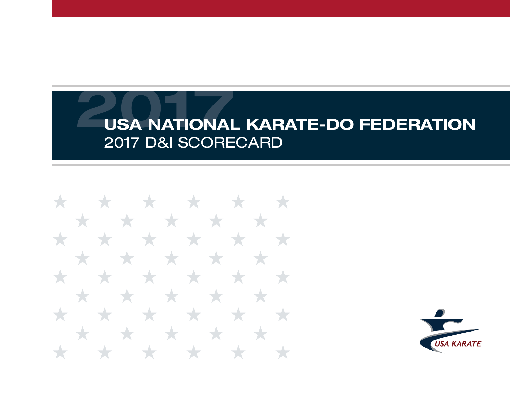\* \* \* \* \* \* \* \* \* \* \* \* \* \* \* \* \* \* ★ \* \* \* **The State State** \* \* \*  $\rightarrow$ Y. ╅  $\star$ **START START** \* \* \* \*  $\star$  $\rightarrow$  $\rightarrow$ **The State State** 

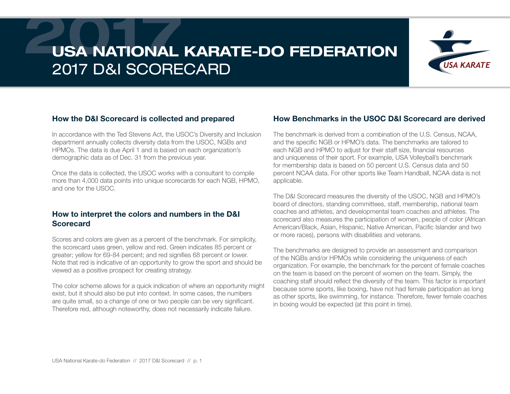

#### How the D&I Scorecard is collected and prepared

In accordance with the Ted Stevens Act, the USOC's Diversity and Inclusion department annually collects diversity data from the USOC, NGBs and HPMOs. The data is due April 1 and is based on each organization's demographic data as of Dec. 31 from the previous year.

Once the data is collected, the USOC works with a consultant to compile more than 4,000 data points into unique scorecards for each NGB, HPMO, and one for the USOC.

#### How to interpret the colors and numbers in the D&I **Scorecard**

Scores and colors are given as a percent of the benchmark. For simplicity, the scorecard uses green, yellow and red. Green indicates 85 percent or greater; yellow for 69-84 percent; and red signifies 68 percent or lower. Note that red is indicative of an opportunity to grow the sport and should be viewed as a positive prospect for creating strategy.

The color scheme allows for a quick indication of where an opportunity might exist, but it should also be put into context. In some cases, the numbers are quite small, so a change of one or two people can be very significant. Therefore red, although noteworthy, does not necessarily indicate failure.

#### How Benchmarks in the USOC D&I Scorecard are derived

The benchmark is derived from a combination of the U.S. Census, NCAA, and the specific NGB or HPMO's data. The benchmarks are tailored to each NGB and HPMO to adjust for their staff size, financial resources and uniqueness of their sport. For example, USA Volleyball's benchmark for membership data is based on 50 percent U.S. Census data and 50 percent NCAA data. For other sports like Team Handball, NCAA data is not applicable.

The D&I Scorecard measures the diversity of the USOC, NGB and HPMO's board of directors, standing committees, staff, membership, national team coaches and athletes, and developmental team coaches and athletes. The scorecard also measures the participation of women, people of color (African American/Black, Asian, Hispanic, Native American, Pacific Islander and two or more races), persons with disabilities and veterans.

The benchmarks are designed to provide an assessment and comparison of the NGBs and/or HPMOs while considering the uniqueness of each organization. For example, the benchmark for the percent of female coaches on the team is based on the percent of women on the team. Simply, the coaching staff should reflect the diversity of the team. This factor is important because some sports, like boxing, have not had female participation as long as other sports, like swimming, for instance. Therefore, fewer female coaches in boxing would be expected (at this point in time).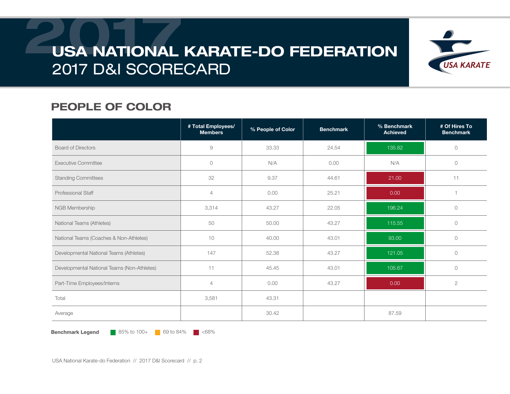

### PEOPLE OF COLOR

|                                             | # Total Employees/<br><b>Members</b> | % People of Color | <b>Benchmark</b> | % Benchmark<br><b>Achieved</b> | # Of Hires To<br><b>Benchmark</b> |
|---------------------------------------------|--------------------------------------|-------------------|------------------|--------------------------------|-----------------------------------|
| <b>Board of Directors</b>                   | 9                                    | 33.33             | 24.54            | 135.82                         | $\circ$                           |
| <b>Executive Committee</b>                  | $\circ$                              | N/A               | 0.00             | N/A                            | $\circ$                           |
| <b>Standing Committees</b>                  | 32                                   | 9.37              | 44.61            | 21.00                          | 11                                |
| Professional Staff                          | $\overline{4}$                       | 0.00              | 25.21            | 0.00                           |                                   |
| NGB Membership                              | 3,314                                | 43.27             | 22.05            | 196.24                         | $\circ$                           |
| National Teams (Athletes)                   | 50                                   | 50.00             | 43.27            | 115.55                         | $\circlearrowright$               |
| National Teams (Coaches & Non-Athletes)     | 10                                   | 40.00             | 43.01            | 93.00                          | $\circ$                           |
| Developmental National Teams (Athletes)     | 147                                  | 52.38             | 43.27            | 121.05                         | $\circ$                           |
| Developmental National Teams (Non-Athletes) | 11                                   | 45.45             | 43.01            | 105.67                         | $\circlearrowright$               |
| Part-Time Employees/Interns                 | $\overline{4}$                       | 0.00              | 43.27            | 0.00                           | $\mathbf{2}$                      |
| Total                                       | 3,581                                | 43.31             |                  |                                |                                   |
| Average                                     |                                      | 30.42             |                  | 87.59                          |                                   |

**Benchmark Legend** 85% to 100+ 69 to 84%  $\blacksquare$  <68%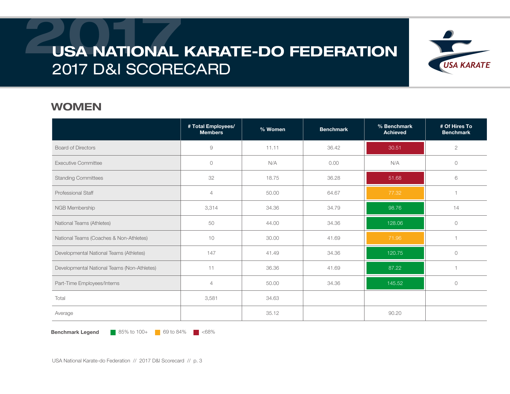

#### WOMEN

|                                             | # Total Employees/<br><b>Members</b> | % Women | <b>Benchmark</b> | % Benchmark<br><b>Achieved</b> | # Of Hires To<br><b>Benchmark</b> |
|---------------------------------------------|--------------------------------------|---------|------------------|--------------------------------|-----------------------------------|
| <b>Board of Directors</b>                   | 9                                    | 11.11   | 36.42            | 30.51                          | $\mathbf{2}$                      |
| <b>Executive Committee</b>                  | $\circ$                              | N/A     | 0.00             | N/A                            | $\circ$                           |
| <b>Standing Committees</b>                  | 32                                   | 18.75   | 36.28            | 51.68                          | 6                                 |
| <b>Professional Staff</b>                   | $\overline{4}$                       | 50.00   | 64.67            | 77.32                          |                                   |
| NGB Membership                              | 3,314                                | 34.36   | 34.79            | 98.76                          | 14                                |
| National Teams (Athletes)                   | 50                                   | 44.00   | 34.36            | 128.06                         | $\circ$                           |
| National Teams (Coaches & Non-Athletes)     | 10                                   | 30.00   | 41.69            | 71.96                          |                                   |
| Developmental National Teams (Athletes)     | 147                                  | 41.49   | 34.36            | 120.75                         | $\circ$                           |
| Developmental National Teams (Non-Athletes) | 11                                   | 36.36   | 41.69            | 87.22                          |                                   |
| Part-Time Employees/Interns                 | $\overline{4}$                       | 50.00   | 34.36            | 145.52                         | $\circ$                           |
| Total                                       | 3,581                                | 34.63   |                  |                                |                                   |
| Average                                     |                                      | 35.12   |                  | 90.20                          |                                   |

**Benchmark Legend** 85% to 100+ 69 to 84%  $\blacksquare$  <68%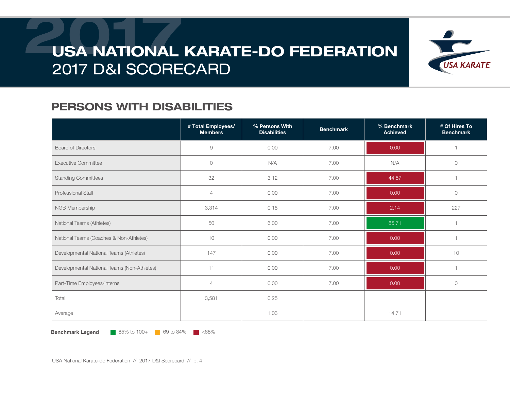

### PERSONS WITH DISABILITIES

|                                             | # Total Employees/<br><b>Members</b> | % Persons With<br><b>Disabilities</b> | <b>Benchmark</b> | % Benchmark<br><b>Achieved</b> | # Of Hires To<br><b>Benchmark</b> |
|---------------------------------------------|--------------------------------------|---------------------------------------|------------------|--------------------------------|-----------------------------------|
| <b>Board of Directors</b>                   | 9                                    | 0.00                                  | 7.00             | 0.00                           |                                   |
| <b>Executive Committee</b>                  | $\circ$                              | N/A                                   | 7.00             | N/A                            | $\circ$                           |
| <b>Standing Committees</b>                  | 32                                   | 3.12                                  | 7.00             | 44.57                          |                                   |
| <b>Professional Staff</b>                   | $\overline{4}$                       | 0.00                                  | 7.00             | 0.00                           | $\bigcirc$                        |
| NGB Membership                              | 3,314                                | 0.15                                  | 7.00             | 2.14                           | 227                               |
| National Teams (Athletes)                   | 50                                   | 6.00                                  | 7.00             | 85.71                          | $\overline{1}$                    |
| National Teams (Coaches & Non-Athletes)     | 10                                   | 0.00                                  | 7.00             | 0.00                           | $\overline{1}$                    |
| Developmental National Teams (Athletes)     | 147                                  | 0.00                                  | 7.00             | 0.00                           | 10                                |
| Developmental National Teams (Non-Athletes) | 11                                   | 0.00                                  | 7.00             | 0.00                           | $\overline{1}$                    |
| Part-Time Employees/Interns                 | $\overline{4}$                       | 0.00                                  | 7.00             | 0.00                           | $\circ$                           |
| Total                                       | 3,581                                | 0.25                                  |                  |                                |                                   |
| Average                                     |                                      | 1.03                                  |                  | 14.71                          |                                   |

**Benchmark Legend** 85% to 100+ 69 to 84%  $\blacksquare$  <68%

USA National Karate-do Federation // 2017 D&I Scorecard // p. 4